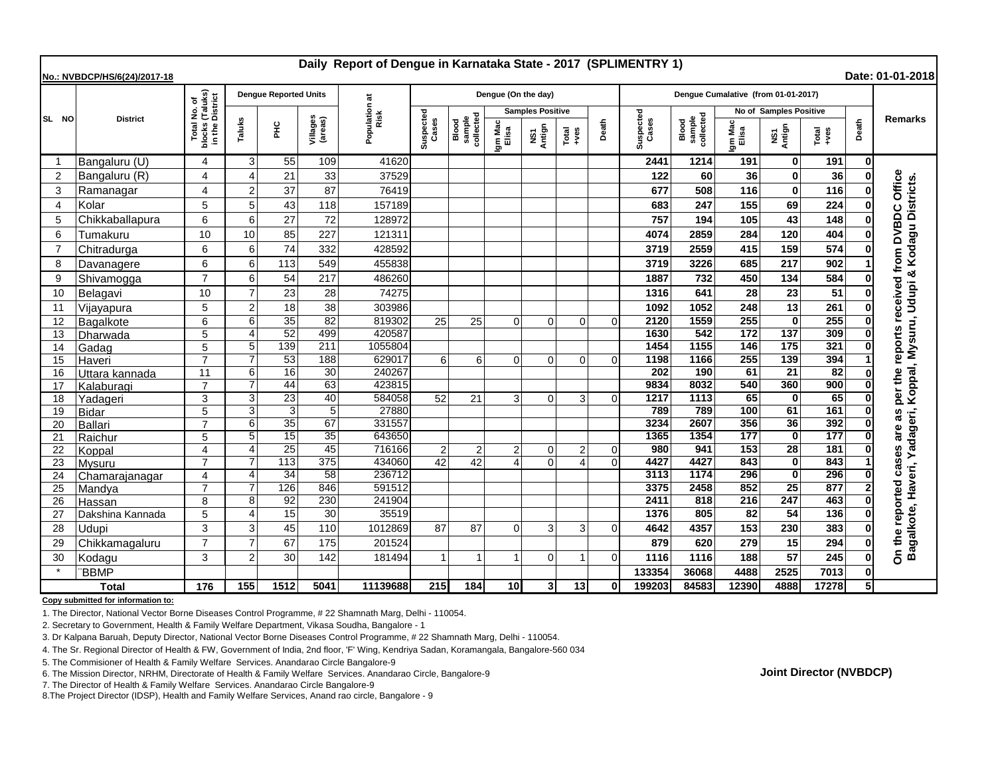| Daily Report of Dengue in Karnataka State - 2017 (SPLIMENTRY 1)<br>Date: 01-01-2018<br>No.: NVBDCP/HS/6(24)/2017-18 |                          |                                                                 |                |                              |                     |                    |                    |                              |                         |                                |                |                    |                                     |                  |               |                                 |                 |                |                                                                                         |
|---------------------------------------------------------------------------------------------------------------------|--------------------------|-----------------------------------------------------------------|----------------|------------------------------|---------------------|--------------------|--------------------|------------------------------|-------------------------|--------------------------------|----------------|--------------------|-------------------------------------|------------------|---------------|---------------------------------|-----------------|----------------|-----------------------------------------------------------------------------------------|
|                                                                                                                     | <b>District</b>          | l No. of<br>(Taluks)<br>District<br>Total<br>blocks<br>in the I |                | <b>Dengue Reported Units</b> |                     | ಕ                  |                    |                              | Dengue (On the day)     |                                |                |                    | Dengue Cumalative (from 01-01-2017) |                  |               |                                 |                 |                |                                                                                         |
| SL NO                                                                                                               |                          |                                                                 |                |                              |                     |                    |                    |                              | <b>Samples Positive</b> |                                |                |                    |                                     |                  |               | No of Samples Positive          |                 |                |                                                                                         |
|                                                                                                                     |                          |                                                                 | Taluks         | 울                            | Villages<br>(areas) | Population<br>Risk | Suspected<br>Cases | sample<br>collected<br>Blood | Igm Mac<br>Elisa        | NS1<br>Antign<br>Total<br>+ves | Death          | Suspected<br>Cases | sample<br>collected<br>Blood        | Igm Mac<br>Elisa | NS1<br>Antign | Total<br>$+ves$                 | Death           | <b>Remarks</b> |                                                                                         |
| -1                                                                                                                  | Bangaluru (U)            | 4                                                               | 3              | 55                           | 109                 | 41620              |                    |                              |                         |                                |                |                    | 2441                                | 1214             | 191           | $\mathbf{0}$                    | 191             | $\mathbf{0}$   |                                                                                         |
| $\overline{2}$                                                                                                      | Bangaluru (R)            | 4                                                               | Δ              | 21                           | 33                  | 37529              |                    |                              |                         |                                |                |                    | 122                                 | 60               | 36            | $\mathbf{0}$                    | 36              |                |                                                                                         |
| 3                                                                                                                   | Ramanagar                | 4                                                               | $\overline{2}$ | 37                           | 87                  | 76419              |                    |                              |                         |                                |                |                    | 677                                 | 508              | 116           | $\mathbf{0}$                    | 116             |                |                                                                                         |
| $\overline{4}$                                                                                                      | Kolar                    | 5                                                               | 5              | 43                           | 118                 | 157189             |                    |                              |                         |                                |                |                    | 683                                 | 247              | 155           | 69                              | 224             |                |                                                                                         |
| 5                                                                                                                   | Chikkaballapura          | 6                                                               | 6              | 27                           | 72                  | 128972             |                    |                              |                         |                                |                |                    | 757                                 | 194              | 105           | 43                              | 148             |                |                                                                                         |
| 6                                                                                                                   | Tumakuru                 | 10                                                              | 10             | 85                           | 227                 | 121311             |                    |                              |                         |                                |                |                    | 4074                                | 2859             | 284           | 120                             | 404             |                |                                                                                         |
| $\overline{7}$                                                                                                      | Chitradurga              | 6                                                               | 6              | 74                           | 332                 | 428592             |                    |                              |                         |                                |                |                    | 3719                                | 2559             | 415           | 159                             | 574             |                |                                                                                         |
| 8                                                                                                                   | Davanagere               | 6                                                               | 6              | 113                          | 549                 | 455838             |                    |                              |                         |                                |                |                    | 3719                                | 3226             | 685           | 217                             | 902             |                |                                                                                         |
| 9                                                                                                                   | Shivamogga               | $\overline{7}$                                                  | 6              | 54                           | 217                 | 486260             |                    |                              |                         |                                |                |                    | 1887                                | 732              | 450           | 134                             | 584             |                |                                                                                         |
| 10                                                                                                                  | Belagavi                 | 10                                                              |                | 23                           | 28                  | 74275              |                    |                              |                         |                                |                |                    | 1316                                | 641              | 28            | 23                              | 51              |                | per the reports received from DVBDC Office<br>Koppal, Mysuru, Udupi & Kodagu Districts. |
| 11                                                                                                                  | Vijayapura               | 5                                                               | $\overline{2}$ | 18                           | 38                  | 303986             |                    |                              |                         |                                |                |                    | 1092                                | 1052             | 248           | 13                              | 261             |                |                                                                                         |
| 12                                                                                                                  | <b>Bagalkote</b>         | 6                                                               | 6              | 35                           | $\overline{82}$     | 819302             | 25                 | 25                           | $\Omega$                | $\Omega$                       | $\Omega$       | $\Omega$           | 2120                                | 1559             | 255           | $\mathbf{0}$                    | 255             |                |                                                                                         |
| 13                                                                                                                  | Dharwada                 | 5                                                               | Δ              | 52                           | 499                 | 420587             |                    |                              |                         |                                |                |                    | 1630                                | 542              | 172           | 137                             | 309             | 0              |                                                                                         |
| 14                                                                                                                  | Gadag                    | 5                                                               | 5              | 139                          | 211                 | 1055804            |                    |                              |                         |                                |                |                    | 1454                                | 1155             | 146           | 175                             | 321             |                |                                                                                         |
| 15                                                                                                                  | Haveri                   | $\overline{7}$                                                  |                | 53                           | 188                 | 629017             | 6                  | 6                            | $\Omega$                | $\mathbf 0$                    | $\Omega$       | $\Omega$           | 1198                                | 1166             | 255           | 139                             | 394             |                |                                                                                         |
| 16                                                                                                                  | Uttara kannada           | 11                                                              | 6              | 16                           | 30                  | 240267             |                    |                              |                         |                                |                |                    | 202                                 | 190              | 61            | $\overline{21}$                 | $\overline{82}$ |                |                                                                                         |
| 17                                                                                                                  | Kalaburagi               | $\overline{7}$                                                  |                | 44                           | 63                  | 423815             |                    |                              |                         |                                |                |                    | 9834                                | 8032             | 540           | 360                             | 900             |                |                                                                                         |
| 18                                                                                                                  | Yadageri                 | 3                                                               | 3              | 23                           | 40                  | 584058             | 52                 | 21                           | 3                       | $\mathbf 0$                    | 3              |                    | 1217                                | 1113             | 65            | $\bf{0}$                        | 65              |                |                                                                                         |
| 19                                                                                                                  | Bidar                    | 5                                                               | 3              | 3                            | 5                   | 27880              |                    |                              |                         |                                |                |                    | 789                                 | 789              | 100           | 61                              | 161             |                |                                                                                         |
| 20                                                                                                                  | Ballari                  | $\overline{7}$                                                  | 6              | 35                           | 67                  | 331557             |                    |                              |                         |                                |                |                    | 3234                                | 2607             | 356<br>177    | 36                              | 392             | 0              |                                                                                         |
| 21                                                                                                                  | Raichur                  | 5<br>4                                                          | 5<br>$\Delta$  | 15<br>$\overline{25}$        | 35<br>45            | 643650<br>716166   | $\overline{2}$     | $\overline{2}$               | $\overline{2}$          | $\mathbf 0$                    | $\overline{2}$ | $\Omega$           | 1365<br>980                         | 1354<br>941      | 153           | $\mathbf{0}$<br>$\overline{28}$ | 177<br>181      |                |                                                                                         |
| 22<br>23                                                                                                            | Koppal                   | $\overline{7}$                                                  |                | 113                          | 375                 | 434060             | 42                 | 42                           | Δ                       | $\Omega$                       | $\Delta$       |                    | 4427                                | 4427             | 843           | $\bf{0}$                        | 843             |                |                                                                                         |
| 24                                                                                                                  | Mysuru<br>Chamarajanagar | 4                                                               | 4              | 34                           | 58                  | 236712             |                    |                              |                         |                                |                |                    | 3113                                | 1174             | 296           | $\mathbf{0}$                    | 296             |                |                                                                                         |
| 25                                                                                                                  | Mandya                   |                                                                 |                | 126                          | 846                 | 591512             |                    |                              |                         |                                |                |                    | 3375                                | 2458             | 852           | $\overline{25}$                 | 877             |                |                                                                                         |
| 26                                                                                                                  | Hassan                   | 8                                                               | 8              | 92                           | 230                 | 241904             |                    |                              |                         |                                |                |                    | 2411                                | 818              | 216           | 247                             | 463             |                |                                                                                         |
| 27                                                                                                                  | Dakshina Kannada         | 5                                                               | ∠              | 15                           | 30                  | 35519              |                    |                              |                         |                                |                |                    | 1376                                | 805              | 82            | 54                              | 136             |                |                                                                                         |
| 28                                                                                                                  | Udupi                    | 3                                                               | 3              | 45                           | 110                 | 1012869            | 87                 | 87                           | $\Omega$                | 3                              | 3              |                    | 4642                                | 4357             | 153           | 230                             | 383             |                |                                                                                         |
| 29                                                                                                                  | Chikkamagaluru           | $\overline{7}$                                                  |                | 67                           | 175                 | 201524             |                    |                              |                         |                                |                |                    | 879                                 | 620              | 279           | 15                              | 294             |                | Bagalkote, Haveri, Yadageri,                                                            |
| 30                                                                                                                  | Kodagu                   | 3                                                               | 2              | 30                           | 142                 | 181494             |                    | -1                           |                         | $\Omega$                       |                |                    | 1116                                | 1116             | 188           | 57                              | 245             |                | On the reported cases are as                                                            |
|                                                                                                                     | <b>BBMP</b>              |                                                                 |                |                              |                     |                    |                    |                              |                         |                                |                |                    | 133354                              | 36068            | 4488          | 2525                            | 7013            |                |                                                                                         |
| <b>Total</b>                                                                                                        |                          | 176                                                             | 155            | 1512                         | 5041                | 11139688           | 215                | 184                          | 10 <sup>1</sup>         | 3 <sup>l</sup>                 | 13             |                    | 199203                              | 84583            | 12390         | 4888                            | 17278           | 51             |                                                                                         |

**Copy submitted for information to:**

1. The Director, National Vector Borne Diseases Control Programme, # 22 Shamnath Marg, Delhi - 110054.

2. Secretary to Government, Health & Family Welfare Department, Vikasa Soudha, Bangalore - 1

3. Dr Kalpana Baruah, Deputy Director, National Vector Borne Diseases Control Programme, # 22 Shamnath Marg, Delhi - 110054.

4. The Sr. Regional Director of Health & FW, Government of India, 2nd floor, 'F' Wing, Kendriya Sadan, Koramangala, Bangalore-560 034

5. The Commisioner of Health & Family Welfare Services. Anandarao Circle Bangalore-9

6. The Mission Director, NRHM, Directorate of Health & Family Welfare Services. Anandarao Circle, Bangalore-9

7. The Director of Health & Family Welfare Services. Anandarao Circle Bangalore-9

8.The Project Director (IDSP), Health and Family Welfare Services, Anand rao circle, Bangalore - 9

**Joint Director (NVBDCP)**